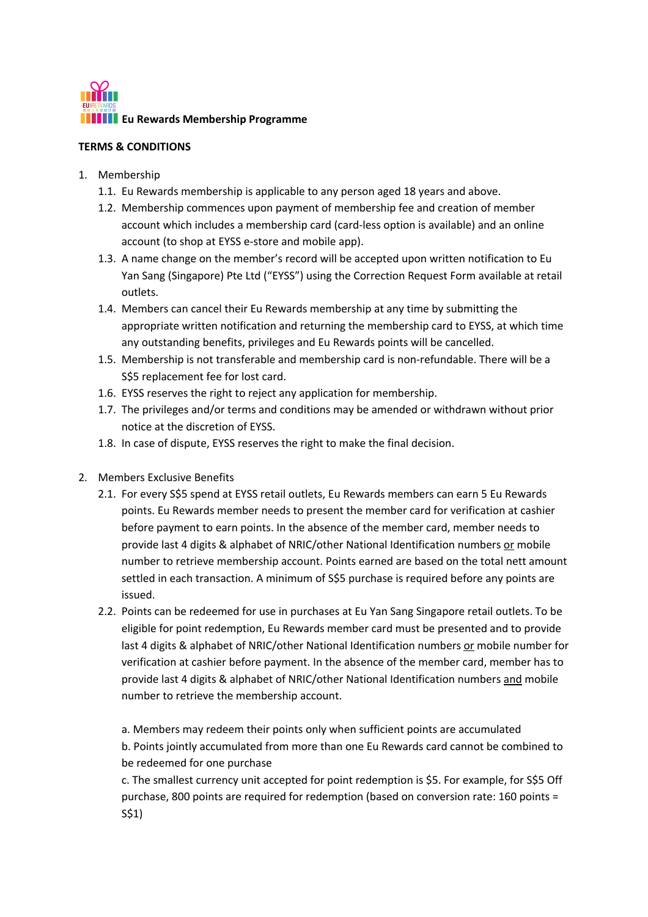

## **TERMS & CONDITIONS**

- 1. Membership
	- 1.1. Eu Rewards membership is applicable to any person aged 18 years and above.
	- 1.2. Membership commences upon payment of membership fee and creation of member account which includes a membership card (card-less option is available) and an online account (to shop at EYSS e-store and mobile app).
	- 1.3. A name change on the member's record will be accepted upon written notification to Eu Yan Sang (Singapore) Pte Ltd ("EYSS") using the Correction Request Form available at retail outlets.
	- 1.4. Members can cancel their Eu Rewards membership at any time by submitting the appropriate written notification and returning the membership card to EYSS, at which time any outstanding benefits, privileges and Eu Rewards points will be cancelled.
	- 1.5. Membership is not transferable and membership card is non-refundable. There will be a S\$5 replacement fee for lost card.
	- 1.6. EYSS reserves the right to reject any application for membership.
	- 1.7. The privileges and/or terms and conditions may be amended or withdrawn without prior notice at the discretion of EYSS.
	- 1.8. In case of dispute, EYSS reserves the right to make the final decision.
- 2. Members Exclusive Benefits
	- 2.1. For every S\$5 spend at EYSS retail outlets, Eu Rewards members can earn 5 Eu Rewards points. Eu Rewards member needs to present the member card for verification at cashier before payment to earn points. In the absence of the member card, member needs to provide last 4 digits & alphabet of NRIC/other National Identification numbers or mobile number to retrieve membership account. Points earned are based on the total nett amount settled in each transaction. A minimum of S\$5 purchase is required before any points are issued.
	- 2.2. Points can be redeemed for use in purchases at Eu Yan Sang Singapore retail outlets. To be eligible for point redemption, Eu Rewards member card must be presented and to provide last 4 digits & alphabet of NRIC/other National Identification numbers or mobile number for verification at cashier before payment. In the absence of the member card, member has to provide last 4 digits & alphabet of NRIC/other National Identification numbers and mobile number to retrieve the membership account.

a. Members may redeem their points only when sufficient points are accumulated b. Points jointly accumulated from more than one Eu Rewards card cannot be combined to be redeemed for one purchase

c. The smallest currency unit accepted for point redemption is \$5. For example, for S\$5 Off purchase, 800 points are required for redemption (based on conversion rate: 160 points = S\$1)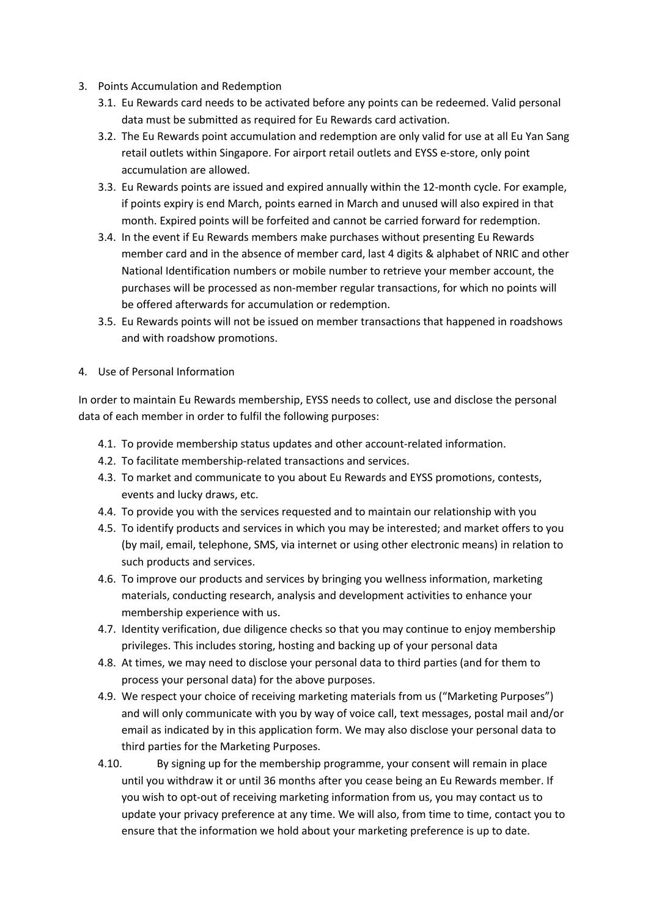- 3. Points Accumulation and Redemption
	- 3.1. Eu Rewards card needs to be activated before any points can be redeemed. Valid personal data must be submitted as required for Eu Rewards card activation.
	- 3.2. The Eu Rewards point accumulation and redemption are only valid for use at all Eu Yan Sang retail outlets within Singapore. For airport retail outlets and EYSS e-store, only point accumulation are allowed.
	- 3.3. Eu Rewards points are issued and expired annually within the 12-month cycle. For example, if points expiry is end March, points earned in March and unused will also expired in that month. Expired points will be forfeited and cannot be carried forward for redemption.
	- 3.4. In the event if Eu Rewards members make purchases without presenting Eu Rewards member card and in the absence of member card, last 4 digits & alphabet of NRIC and other National Identification numbers or mobile number to retrieve your member account, the purchases will be processed as non-member regular transactions, for which no points will be offered afterwards for accumulation or redemption.
	- 3.5. Eu Rewards points will not be issued on member transactions that happened in roadshows and with roadshow promotions.
- 4. Use of Personal Information

In order to maintain Eu Rewards membership, EYSS needs to collect, use and disclose the personal data of each member in order to fulfil the following purposes:

- 4.1. To provide membership status updates and other account-related information.
- 4.2. To facilitate membership-related transactions and services.
- 4.3. To market and communicate to you about Eu Rewards and EYSS promotions, contests, events and lucky draws, etc.
- 4.4. To provide you with the services requested and to maintain our relationship with you
- 4.5. To identify products and services in which you may be interested; and market offers to you (by mail, email, telephone, SMS, via internet or using other electronic means) in relation to such products and services.
- 4.6. To improve our products and services by bringing you wellness information, marketing materials, conducting research, analysis and development activities to enhance your membership experience with us.
- 4.7. Identity verification, due diligence checks so that you may continue to enjoy membership privileges. This includes storing, hosting and backing up of your personal data
- 4.8. At times, we may need to disclose your personal data to third parties (and for them to process your personal data) for the above purposes.
- 4.9. We respect your choice of receiving marketing materials from us ("Marketing Purposes") and will only communicate with you by way of voice call, text messages, postal mail and/or email as indicated by in this application form. We may also disclose your personal data to third parties for the Marketing Purposes.
- 4.10. By signing up for the membership programme, your consent will remain in place until you withdraw it or until 36 months after you cease being an Eu Rewards member. If you wish to opt-out of receiving marketing information from us, you may contact us to update your privacy preference at any time. We will also, from time to time, contact you to ensure that the information we hold about your marketing preference is up to date.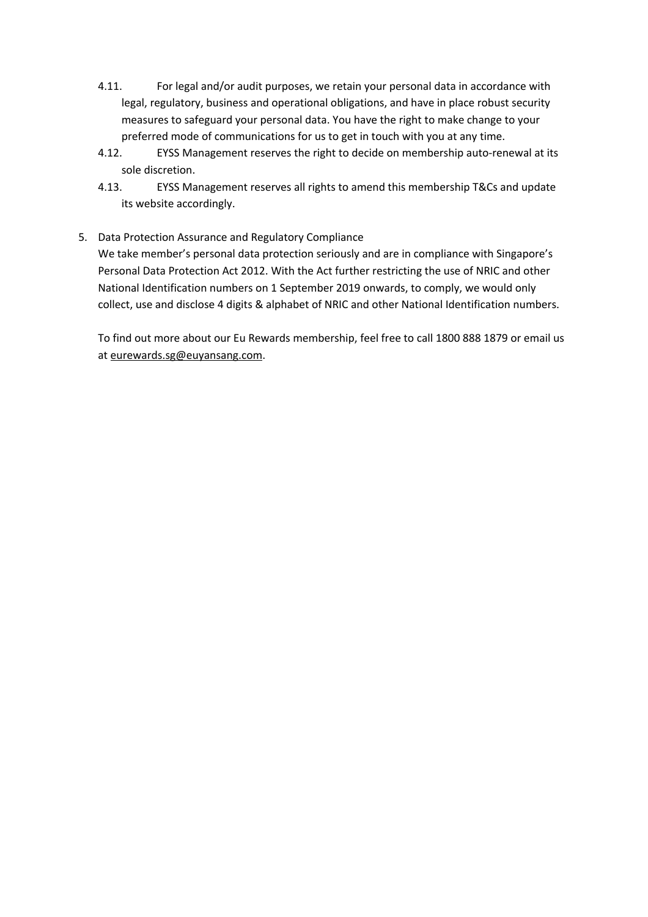- 4.11. For legal and/or audit purposes, we retain your personal data in accordance with legal, regulatory, business and operational obligations, and have in place robust security measures to safeguard your personal data. You have the right to make change to your preferred mode of communications for us to get in touch with you at any time.
- 4.12. EYSS Management reserves the right to decide on membership auto-renewal at its sole discretion.
- 4.13. EYSS Management reserves all rights to amend this membership T&Cs and update its website accordingly.

## 5. Data Protection Assurance and Regulatory Compliance

We take member's personal data protection seriously and are in compliance with Singapore's Personal Data Protection Act 2012. With the Act further restricting the use of NRIC and other National Identification numbers on 1 September 2019 onwards, to comply, we would only collect, use and disclose 4 digits & alphabet of NRIC and other National Identification numbers.

To find out more about our Eu Rewards membership, feel free to call 1800 888 1879 or email us at eurewards.sg@euyansang.com.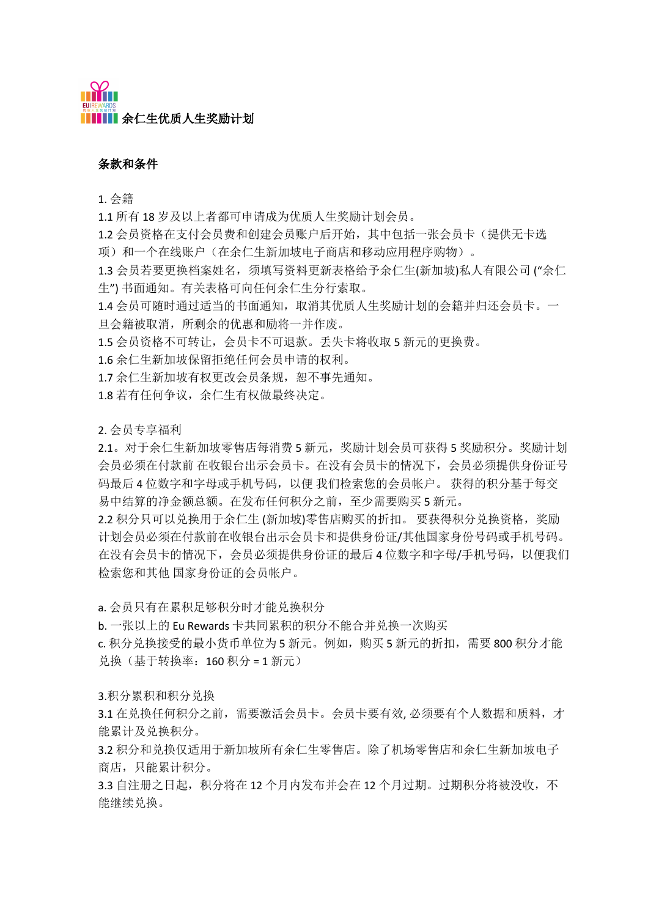## 条款和条件

1. 会籍

1.1 所有 18 岁及以上者都可申请成为优质人生奖励计划会员。

1.2 会员资格在支付会员费和创建会员账户后开始,其中包括一张会员卡(提供无卡选 项)和一个在线账户(在余仁生新加坡电子商店和移动应用程序购物)。

1.3 会员若要更换档案姓名,须填写资料更新表格给予余仁生(新加坡)私人有限公司 ("余仁 生") 书面通知。有关表格可向任何余仁生分行索取。

1.4 会员可随时通过适当的书面通知,取消其优质人生奖励计划的会籍并归还会员卡。一 旦会籍被取消,所剩余的优惠和励将一并作废。

1.5 会员资格不可转让,会员卡不可退款。手失卡将收取 5 新元的更换费。

1.6 余仁生新加坡保留拒绝任何会员申请的权利。

1.7 余仁生新加坡有权更改会员条规, 恕不事先通知。

1.8 若有任何争议,余仁生有权做最终决定。

2. 会员专享福利

2.1。对于余仁生新加坡零售店每消费 5 新元,奖励计划会员可获得 5 奖励积分。奖励计划 会员必须在付款前 在收银台出示会员卡。在没有会员卡的情况下,会员必须提供身份证号 码最后 4 位数字和字母或手机号码,以便 我们检索您的会员帐户。 获得的积分基于每交 易中结算的净金额总额。在发布任何积分之前,至少需要购买 5 新元。

2.2 积分只可以兑换用于余仁生 (新加坡)零售店购买的折扣。 要获得积分兑换资格,奖励 计划会员必须在付款前在收银台出示会员卡和提供身份证/其他国家身份号码或手机号码。 在没有会员卡的情况下,会员必须提供身份证的最后 4 位数字和字母/手机号码,以便我们 检索您和其他 国家身份证的会员帐户。

a. 会员只有在累积足够积分时才能兑换积分

b. 一张以上的 Eu Rewards 卡共同累积的积分不能合并兑换一次购买

c. 积分兑换接受的最小货币单位为5 新元。例如, 购买5 新元的折扣, 需要 800 积分才能 兑换(基于转换率:160 积分 = 1 新元)

3.积分累积和积分兑换

3.1 在兑换任何积分之前,需要激活会员卡。会员卡要有效, 必须要有个人数据和质料,才 能累计及兑换积分。

3.2 积分和兑换仅适用于新加坡所有余仁生零售店。除了机场零售店和余仁生新加坡电子 商店,只能累计积分。

3.3 自注册之日起,积分将在 12 个月内发布并会在 12 个月过期。过期积分将被没收,不 能继续兑换。